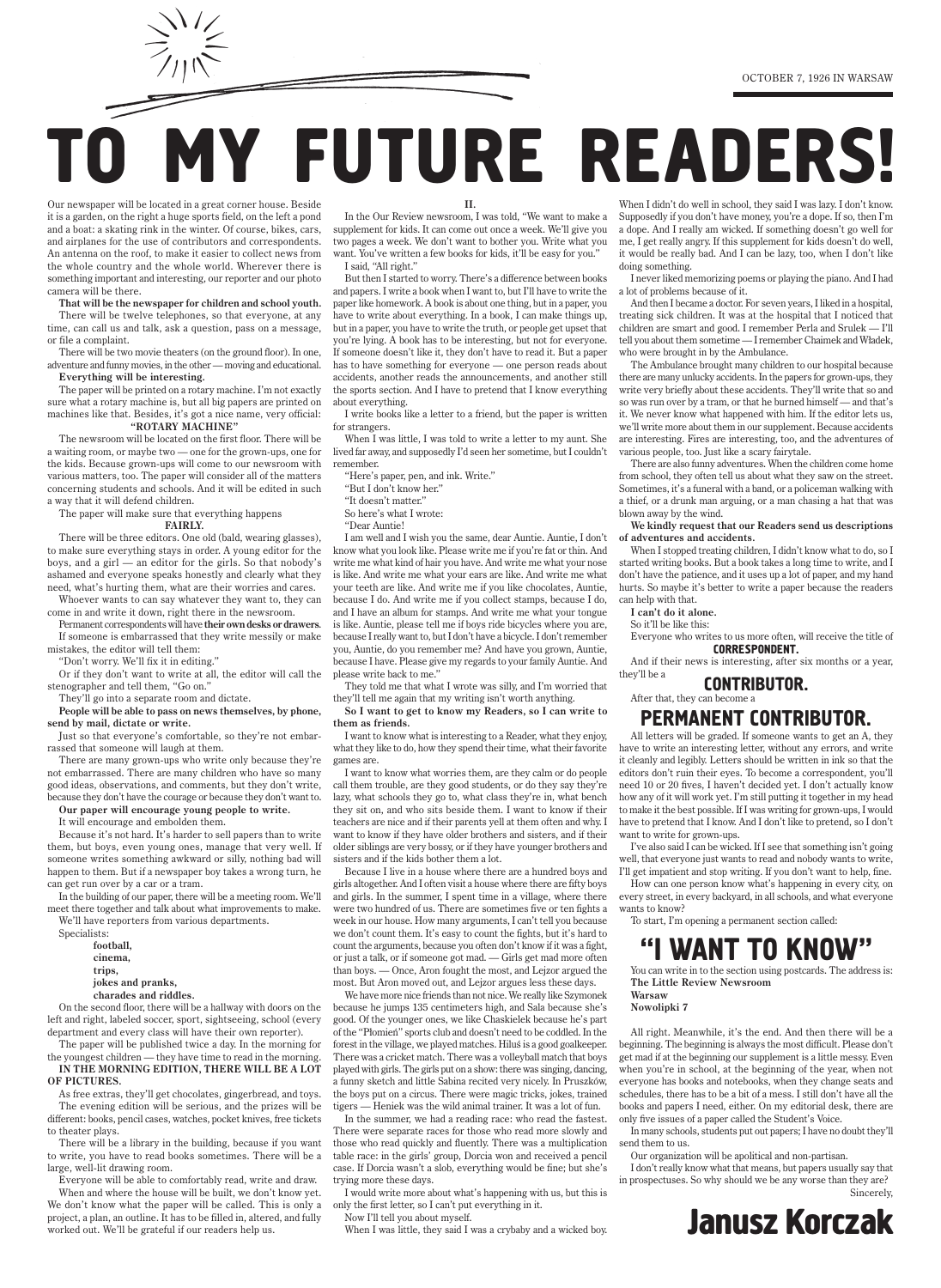Our newspaper will be located in a great corner house. Beside it is a garden, on the right a huge sports field, on the left a pond and a boat: a skating rink in the winter. Of course, bikes, cars, and airplanes for the use of contributors and correspondents. An antenna on the roof, to make it easier to collect news from the whole country and the whole world. Wherever there is something important and interesting, our reporter and our photo camera will be there.

**That will be the newspaper for children and school youth.**

There will be twelve telephones, so that everyone, at any time, can call us and talk, ask a question, pass on a message, or file a complaint.

There will be two movie theaters (on the ground floor). In one, adventure and funny movies, in the other — moving and educational. **Everything will be interesting.**

The paper will be printed on a rotary machine. I'm not exactly sure what a rotary machine is, but all big papers are printed on machines like that. Besides, it's got a nice name, very official: **"ROTARY MACHINE"**

The newsroom will be located on the first floor. There will be a waiting room, or maybe two — one for the grown-ups, one for the kids. Because grown-ups will come to our newsroom with various matters, too. The paper will consider all of the matters concerning students and schools. And it will be edited in such a way that it will defend children.

The paper will make sure that everything happens **FAIRLY.**

There will be three editors. One old (bald, wearing glasses), to make sure everything stays in order. A young editor for the boys, and a girl — an editor for the girls. So that nobody's ashamed and everyone speaks honestly and clearly what they need, what's hurting them, what are their worries and cares.

Whoever wants to can say whatever they want to, they can come in and write it down, right there in the newsroom.

Permanent correspondents will have **their own desks or drawers**. If someone is embarrassed that they write messily or make

mistakes, the editor will tell them: "Don't worry. We'll fix it in editing."

Or if they don't want to write at all, the editor will call the please write back to me." stenographer and tell them, "Go on."

They'll go into a separate room and dictate.

**People will be able to pass on news themselves, by phone, send by mail, dictate or write.**

Just so that everyone's comfortable, so they're not embarrassed that someone will laugh at them.

There are many grown-ups who write only because they're not embarrassed. There are many children who have so many good ideas, observations, and comments, but they don't write, because they don't have the courage or because they don't want to.

**Our paper will encourage young people to write.**

It will encourage and embolden them.

Because it's not hard. It's harder to sell papers than to write them, but boys, even young ones, manage that very well. If someone writes something awkward or silly, nothing bad will happen to them. But if a newspaper boy takes a wrong turn, he can get run over by a car or a tram.

In the building of our paper, there will be a meeting room. We'll meet there together and talk about what improvements to make.

We'll have reporters from various departments. Specialists:

> **football, cinema, trips, jokes and pranks, charades and riddles.**

On the second floor, there will be a hallway with doors on the left and right, labeled soccer, sport, sightseeing, school (every department and every class will have their own reporter).

The paper will be published twice a day. In the morning for the youngest children — they have time to read in the morning.

**In the morning edition, there will be a lot of pictures.**

As free extras, they'll get chocolates, gingerbread, and toys. The evening edition will be serious, and the prizes will be different: books, pencil cases, watches, pocket knives, free tickets to theater plays.

There will be a library in the building, because if you want to write, you have to read books sometimes. There will be a large, well-lit drawing room.

Everyone will be able to comfortably read, write and draw.

When and where the house will be built, we don't know yet. We don't know what the paper will be called. This is only a project, a plan, an outline. It has to be filled in, altered, and fully worked out. We'll be grateful if our readers help us.

**II.**

In the Our Review newsroom, I was told, "We want to make a supplement for kids. It can come out once a week. We'll give you two pages a week. We don't want to bother you. Write what you want. You've written a few books for kids, it'll be easy for you." I said, "All right."

When I didn't do well in school, they said I was lazy. I don't know. Supposedly if you don't have money, you're a dope. If so, then I'm a dope. And I really am wicked. If something doesn't go well for me, I get really angry. If this supplement for kids doesn't do well, it would be really bad. And I can be lazy, too, when I don't like doing something.

But then I started to worry. There's a difference between books and papers. I write a book when I want to, but I'll have to write the paper like homework. A book is about one thing, but in a paper, you have to write about everything. In a book, I can make things up, but in a paper, you have to write the truth, or people get upset that you're lying. A book has to be interesting, but not for everyone. If someone doesn't like it, they don't have to read it. But a paper has to have something for everyone — one person reads about accidents, another reads the announcements, and another still the sports section. And I have to pretend that I know everything about everything.

I write books like a letter to a friend, but the paper is written for strangers.

When I was little, I was told to write a letter to my aunt. She lived far away, and supposedly I'd seen her sometime, but I couldn't remember.

"Here's paper, pen, and ink. Write."

"But I don't know her."

"It doesn't matter."

So here's what I wrote:

"Dear Auntie!

I am well and I wish you the same, dear Auntie. Auntie, I don't know what you look like. Please write me if you're fat or thin. And write me what kind of hair you have. And write me what your nose is like. And write me what your ears are like. And write me what your teeth are like. And write me if you like chocolates, Auntie, because I do. And write me if you collect stamps, because I do, and I have an album for stamps. And write me what your tongue is like. Auntie, please tell me if boys ride bicycles where you are, because I really want to, but I don't have a bicycle. I don't remember you, Auntie, do you remember me? And have you grown, Auntie, because I have. Please give my regards to your family Auntie. And

They told me that what I wrote was silly, and I'm worried that they'll tell me again that my writing isn't worth anything.

**So I want to get to know my Readers, so I can write to them as friends.**

I want to know what is interesting to a Reader, what they enjoy, what they like to do, how they spend their time, what their favorite games are.

I want to know what worries them, are they calm or do people call them trouble, are they good students, or do they say they're lazy, what schools they go to, what class they're in, what bench they sit on, and who sits beside them. I want to know if their teachers are nice and if their parents yell at them often and why. I want to know if they have older brothers and sisters, and if their older siblings are very bossy, or if they have younger brothers and sisters and if the kids bother them a lot.

Because I live in a house where there are a hundred boys and girls altogether. And I often visit a house where there are fifty boys and girls. In the summer, I spent time in a village, where there were two hundred of us. There are sometimes five or ten fights a week in our house. How many arguments, I can't tell you because we don't count them. It's easy to count the fights, but it's hard to

count the arguments, because you often don't know if it was a fight, or just a talk, or if someone got mad. — Girls get mad more often than boys. — Once, Aron fought the most, and Lejzor argued the most. But Aron moved out, and Lejzor argues less these days.

We have more nice friends than not nice. We really like Szymonek because he jumps 135 centimeters high, and Sala because she's good. Of the younger ones, we like Chaskielek because he's part of the "Płomień" sports club and doesn't need to be coddled. In the forest in the village, we played matches. Hiluś is a good goalkeeper. There was a cricket match. There was a volleyball match that boys played with girls. The girls put on a show: there was singing, dancing, a funny sketch and little Sabina recited very nicely. In Pruszków, the boys put on a circus. There were magic tricks, jokes, trained tigers — Heniek was the wild animal trainer. It was a lot of fun.

In the summer, we had a reading race: who read the fastest. There were separate races for those who read more slowly and those who read quickly and fluently. There was a multiplication table race: in the girls' group, Dorcia won and received a pencil case. If Dorcia wasn't a slob, everything would be fine; but she's trying more these days.

I would write more about what's happening with us, but this is only the first letter, so I can't put everything in it.

Now I'll tell you about myself.

When I was little, they said I was a crybaby and a wicked boy.

## 'ANT TO KNO

I never liked memorizing poems or playing the piano. And I had a lot of problems because of it.

And then I became a doctor. For seven years, I liked in a hospital, treating sick children. It was at the hospital that I noticed that children are smart and good. I remember Perla and Srulek — I'll tell you about them sometime — I remember Chaimek and Władek, who were brought in by the Ambulance.

The Ambulance brought many children to our hospital because there are many unlucky accidents. In the papers for grown-ups, they write very briefly about these accidents. They'll write that so and so was run over by a tram, or that he burned himself — and that's it. We never know what happened with him. If the editor lets us, we'll write more about them in our supplement. Because accidents are interesting. Fires are interesting, too, and the adventures of various people, too. Just like a scary fairytale.

There are also funny adventures. When the children come home from school, they often tell us about what they saw on the street. Sometimes, it's a funeral with a band, or a policeman walking with a thief, or a drunk man arguing, or a man chasing a hat that was blown away by the wind.

**We kindly request that our Readers send us descriptions of adventures and accidents.**

When I stopped treating children, I didn't know what to do, so I started writing books. But a book takes a long time to write, and I don't have the patience, and it uses up a lot of paper, and my hand hurts. So maybe it's better to write a paper because the readers can help with that.

**I can't do it alone.**

So it'll be like this:

Everyone who writes to us more often, will receive the title of CORRESPONDENT.

And if their news is interesting, after six months or a year, they'll be a

## CONTRIBUTOR.

After that, they can become a

## PERMANENT CONTRIBUTOR.

All letters will be graded. If someone wants to get an A, they have to write an interesting letter, without any errors, and write it cleanly and legibly. Letters should be written in ink so that the editors don't ruin their eyes. To become a correspondent, you'll need 10 or 20 fives, I haven't decided yet. I don't actually know how any of it will work yet. I'm still putting it together in my head to make it the best possible. If I was writing for grown-ups, I would have to pretend that I know. And I don't like to pretend, so I don't want to write for grown-ups.

I've also said I can be wicked. If I see that something isn't going well, that everyone just wants to read and nobody wants to write, I'll get impatient and stop writing. If you don't want to help, fine.

How can one person know what's happening in every city, on every street, in every backyard, in all schools, and what everyone wants to know?

To start, I'm opening a permanent section called:

You can write in to the section using postcards. The address is: **The Little Review Newsroom Warsaw**

### **Nowolipki 7**

All right. Meanwhile, it's the end. And then there will be a beginning. The beginning is always the most difficult. Please don't get mad if at the beginning our supplement is a little messy. Even when you're in school, at the beginning of the year, when not everyone has books and notebooks, when they change seats and schedules, there has to be a bit of a mess. I still don't have all the books and papers I need, either. On my editorial desk, there are only five issues of a paper called the Student's Voice.

In many schools, students put out papers; I have no doubt they'll send them to us.

Our organization will be apolitical and non-partisan.

I don't really know what that means, but papers usually say that in prospectuses. So why should we be any worse than they are? Sincerely,

# **MY FUTURE READERS!**

# **Janusz Korczak**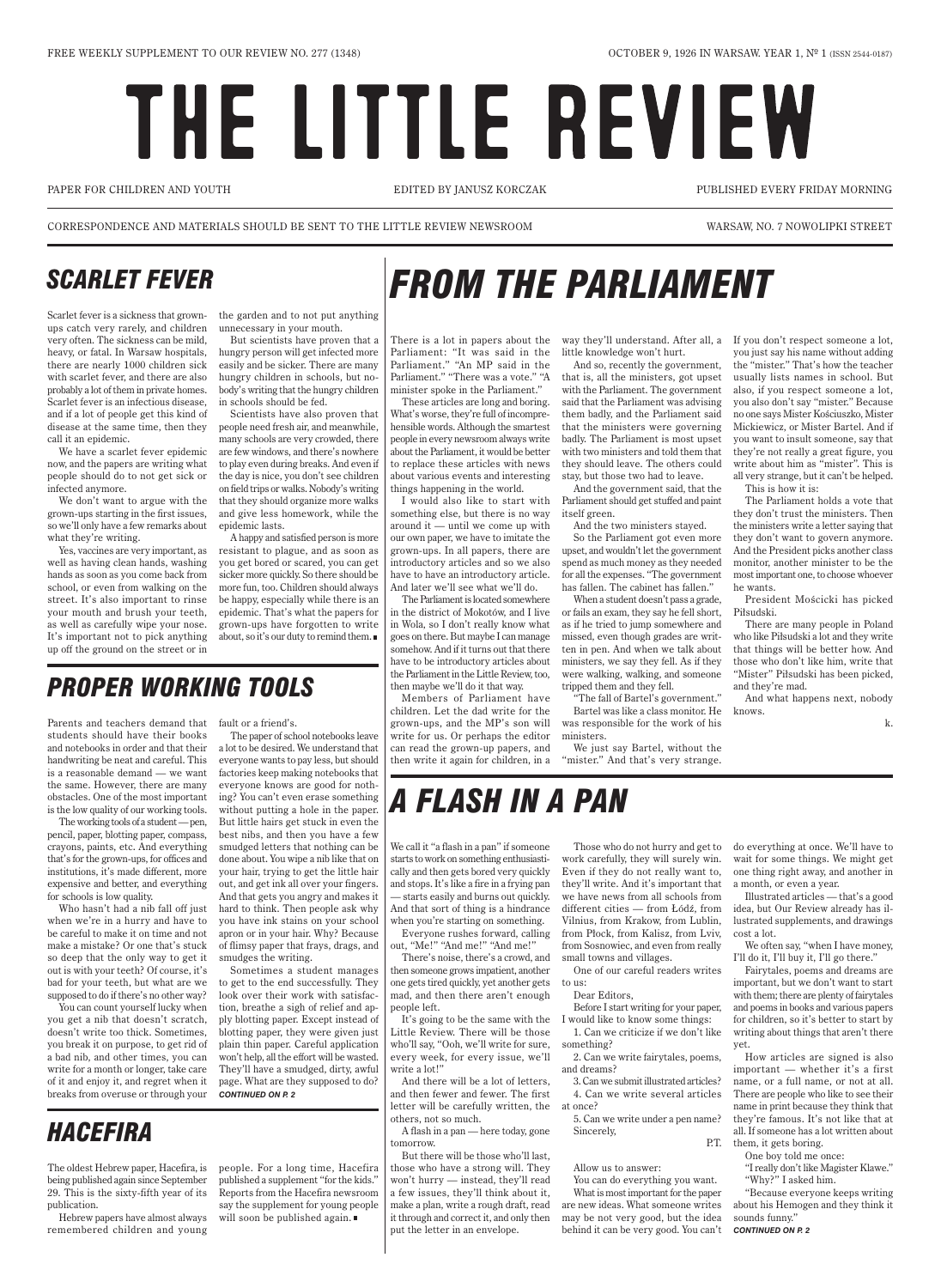# THE LITTLE REVIEW

PAPER FOR CHILDREN AND YOUTH EDITED BY JANUSZ KORCZAK PUBLISHED EVERY FRIDAY MORNING

CORRESPONDENCE AND MATERIALS SHOULD BE SENT TO THE LITTLE REVIEW NEWSROOM WARSAW, NO. 7 NOWOLIPKI STREET

Scarlet fever is a sickness that grownups catch very rarely, and children very often. The sickness can be mild, heavy, or fatal. In Warsaw hospitals, there are nearly 1000 children sick with scarlet fever, and there are also probably a lot of them in private homes. Scarlet fever is an infectious disease, and if a lot of people get this kind of disease at the same time, then they call it an epidemic.

We have a scarlet fever epidemic now, and the papers are writing what people should do to not get sick or infected anymore.

We don't want to argue with the grown-ups starting in the first issues, so we'll only have a few remarks about what they're writing.

Yes, vaccines are very important, as well as having clean hands, washing hands as soon as you come back from school, or even from walking on the street. It's also important to rinse your mouth and brush your teeth, as well as carefully wipe your nose. It's important not to pick anything up off the ground on the street or in

the garden and to not put anything unnecessary in your mouth.

But scientists have proven that a hungry person will get infected more easily and be sicker. There are many hungry children in schools, but nobody's writing that the hungry children in schools should be fed.

Scientists have also proven that people need fresh air, and meanwhile, many schools are very crowded, there are few windows, and there's nowhere to play even during breaks. And even if the day is nice, you don't see children on field trips or walks. Nobody's writing that they should organize more walks and give less homework, while the epidemic lasts.

A happy and satisfied person is more resistant to plague, and as soon as you get bored or scared, you can get sicker more quickly. So there should be more fun, too. Children should always be happy, especially while there is an epidemic. That's what the papers for grown-ups have forgotten to write about, so it's our duty to remind them.

There is a lot in papers about the Parliament: "It was said in the Parliament." "An MP said in the Parliament." "There was a vote." "A minister spoke in the Parliament."

> We just say Bartel, without the "mister." And that's very strange.

These articles are long and boring. What's worse, they're full of incomprehensible words. Although the smartest people in every newsroom always write about the Parliament, it would be better to replace these articles with news about various events and interesting things happening in the world.

I would also like to start with something else, but there is no way around it — until we come up with our own paper, we have to imitate the grown-ups. In all papers, there are introductory articles and so we also have to have an introductory article. And later we'll see what we'll do.

The Parliament is located somewhere in the district of Mokotów, and I live in Wola, so I don't really know what goes on there. But maybe I can manage somehow. And if it turns out that there have to be introductory articles about the Parliament in the Little Review, too, then maybe we'll do it that way.

Members of Parliament have children. Let the dad write for the grown-ups, and the MP's son will write for us. Or perhaps the editor can read the grown-up papers, and then write it again for children, in a

way they'll understand. After all, a If you don't respect someone a lot, little knowledge won't hurt.

And so, recently the government, that is, all the ministers, got upset with the Parliament. The government said that the Parliament was advising them badly, and the Parliament said that the ministers were governing badly. The Parliament is most upset with two ministers and told them that they should leave. The others could stay, but those two had to leave.

And the government said, that the Parliament should get stuffed and paint itself green.

And the two ministers stayed.

So the Parliament got even more upset, and wouldn't let the government spend as much money as they needed for all the expenses. "The government has fallen. The cabinet has fallen."

people. For a long time, Hacefira published a supplement "for the kids." Reports from the Hacefira newsroom say the supplement for young people will soon be published again.

When a student doesn't pass a grade, or fails an exam, they say he fell short, as if he tried to jump somewhere and missed, even though grades are written in pen. And when we talk about ministers, we say they fell. As if they were walking, walking, and someone tripped them and they fell.

"The fall of Bartel's government." Bartel was like a class monitor. He knows. was responsible for the work of his ministers.

you just say his name without adding the "mister." That's how the teacher usually lists names in school. But also, if you respect someone a lot, you also don't say "mister." Because no one says Mister Kościuszko, Mister Mickiewicz, or Mister Bartel. And if you want to insult someone, say that they're not really a great figure, you write about him as "mister". This is all very strange, but it can't be helped. This is how it is:

The Parliament holds a vote that they don't trust the ministers. Then the ministers write a letter saying that they don't want to govern anymore. And the President picks another class monitor, another minister to be the most important one, to choose whoever he wants.

President Mościcki has picked Piłsudski.

There are many people in Poland who like Piłsudski a lot and they write that things will be better how. And those who don't like him, write that "Mister" Piłsudski has been picked, and they're mad.

And what happens next, nobody

k.

# *FROM THE PARLIAMENT Scarlet fever*

Parents and teachers demand that fault or a friend's. students should have their books and notebooks in order and that their handwriting be neat and careful. This is a reasonable demand — we want the same. However, there are many obstacles. One of the most important is the low quality of our working tools.

The working tools of a student —pen, pencil, paper, blotting paper, compass, crayons, paints, etc. And everything that's for the grown-ups, for offices and institutions, it's made different, more expensive and better, and everything for schools is low quality.

when we're in a hurry and have to you have ink stains on your school be careful to make it on time and not make a mistake? Or one that's stuck so deep that the only way to get it out is with your teeth? Of course, it's bad for your teeth, but what are we supposed to do if there's no other way? You can count yourself lucky when you get a nib that doesn't scratch, doesn't write too thick. Sometimes, you break it on purpose, to get rid of a bad nib, and other times, you can write for a month or longer, take care of it and enjoy it, and regret when it breaks from overuse or through your

Who hasn't had a nib fall off just hard to think. Then people ask why The paper of school notebooks leave a lot to be desired. We understand that everyone wants to pay less, but should factories keep making notebooks that everyone knows are good for nothing? You can't even erase something without putting a hole in the paper. But little hairs get stuck in even the best nibs, and then you have a few smudged letters that nothing can be done about. You wipe a nib like that on your hair, trying to get the little hair out, and get ink all over your fingers. And that gets you angry and makes it apron or in your hair. Why? Because

> of flimsy paper that frays, drags, and smudges the writing.

Sometimes a student manages to get to the end successfully. They look over their work with satisfaction, breathe a sigh of relief and apply blotting paper. Except instead of blotting paper, they were given just plain thin paper. Careful application won't help, all the effort will be wasted. They'll have a smudged, dirty, awful page. What are they supposed to do? *continued on p. 2*

# *Proper working tools*

The oldest Hebrew paper, Hacefira, is being published again since September 29. This is the sixty-fifth year of its publication.

Hebrew papers have almost always remembered children and young

## *HACEFIRA*

We call it "a flash in a pan" if someone starts to work on something enthusiastically and then gets bored very quickly and stops. It's like a fire in a frying pan — starts easily and burns out quickly. And that sort of thing is a hindrance when you're starting on something.

Everyone rushes forward, calling

out, "Me!" "And me!" "And me!" There's noise, there's a crowd, and

then someone grows impatient, another one gets tired quickly, yet another gets mad, and then there aren't enough people left.

It's going to be the same with the Little Review. There will be those who'll say, "Ooh, we'll write for sure, every week, for every issue, we'll write a lot!"

And there will be a lot of letters, and then fewer and fewer. The first letter will be carefully written, the others, not so much.

A flash in a pan — here today, gone tomorrow.

But there will be those who'll last, those who have a strong will. They won't hurry — instead, they'll read a few issues, they'll think about it, make a plan, write a rough draft, read it through and correct it, and only then put the letter in an envelope.

Those who do not hurry and get to work carefully, they will surely win. Even if they do not really want to, they'll write. And it's important that we have news from all schools from different cities — from Łódź, from Vilnius, from Krakow, from Lublin, from Płock, from Kalisz, from Lviv,

from Sosnowiec, and even from really small towns and villages.

One of our careful readers writes to us:

Dear Editors,

Before I start writing for your paper, I would like to know some things: 1. Can we criticize if we don't like something?

2. Can we write fairytales, poems, and dreams?

3. Can we submit illustrated articles? 4. Can we write several articles at once?

5. Can we write under a pen name? Sincerely,

### P.T.

#### Allow us to answer:

You can do everything you want. What is most important for the paper are new ideas. What someone writes may be not very good, but the idea behind it can be very good. You can't

do everything at once. We'll have to wait for some things. We might get one thing right away, and another in a month, or even a year.

Illustrated articles — that's a good idea, but Our Review already has illustrated supplements, and drawings cost a lot.

We often say, "when I have money, I'll do it, I'll buy it, I'll go there."

Fairytales, poems and dreams are important, but we don't want to start with them; there are plenty of fairytales and poems in books and various papers for children, so it's better to start by writing about things that aren't there yet.

How articles are signed is also important — whether it's a first name, or a full name, or not at all. There are people who like to see their name in print because they think that they're famous. It's not like that at all. If someone has a lot written about them, it gets boring.

One boy told me once:

"I really don't like Magister Klawe." "Why?" I asked him.

"Because everyone keeps writing about his Hemogen and they think it sounds funny."

#### *continued on p. 2*

# *A FLASH IN A PAN*